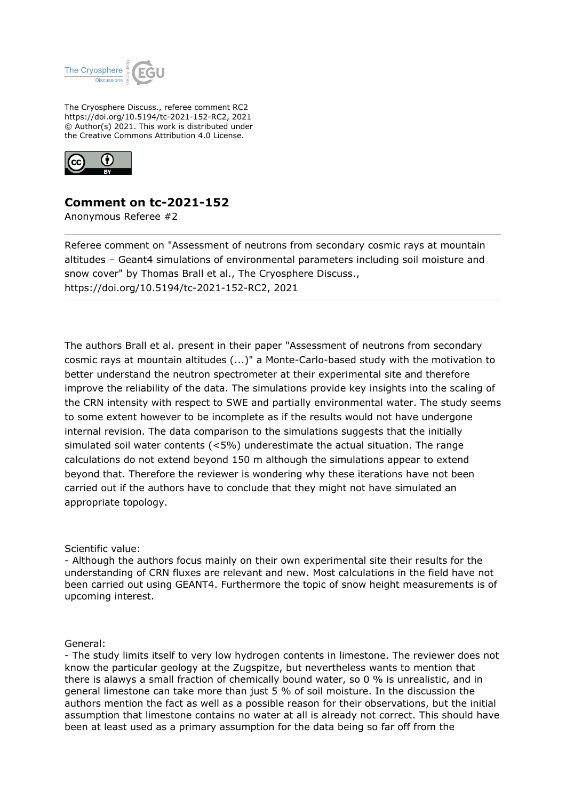

The Cryosphere Discuss., referee comment RC2 https://doi.org/10.5194/tc-2021-152-RC2, 2021 © Author(s) 2021. This work is distributed under the Creative Commons Attribution 4.0 License.



## **Comment on tc-2021-152**

Anonymous Referee #2

Referee comment on "Assessment of neutrons from secondary cosmic rays at mountain altitudes – Geant4 simulations of environmental parameters including soil moisture and snow cover" by Thomas Brall et al., The Cryosphere Discuss., https://doi.org/10.5194/tc-2021-152-RC2, 2021

The authors Brall et al. present in their paper "Assessment of neutrons from secondary cosmic rays at mountain altitudes (...)" a Monte-Carlo-based study with the motivation to better understand the neutron spectrometer at their experimental site and therefore improve the reliability of the data. The simulations provide key insights into the scaling of the CRN intensity with respect to SWE and partially environmental water. The study seems to some extent however to be incomplete as if the results would not have undergone internal revision. The data comparison to the simulations suggests that the initially simulated soil water contents (<5%) underestimate the actual situation. The range calculations do not extend beyond 150 m although the simulations appear to extend beyond that. Therefore the reviewer is wondering why these iterations have not been carried out if the authors have to conclude that they might not have simulated an appropriate topology.

Scientific value:

- Although the authors focus mainly on their own experimental site their results for the understanding of CRN fluxes are relevant and new. Most calculations in the field have not been carried out using GEANT4. Furthermore the topic of snow height measurements is of upcoming interest.

General:

- The study limits itself to very low hydrogen contents in limestone. The reviewer does not know the particular geology at the Zugspitze, but nevertheless wants to mention that there is alawys a small fraction of chemically bound water, so 0 % is unrealistic, and in general limestone can take more than just 5 % of soil moisture. In the discussion the authors mention the fact as well as a possible reason for their observations, but the initial assumption that limestone contains no water at all is already not correct. This should have been at least used as a primary assumption for the data being so far off from the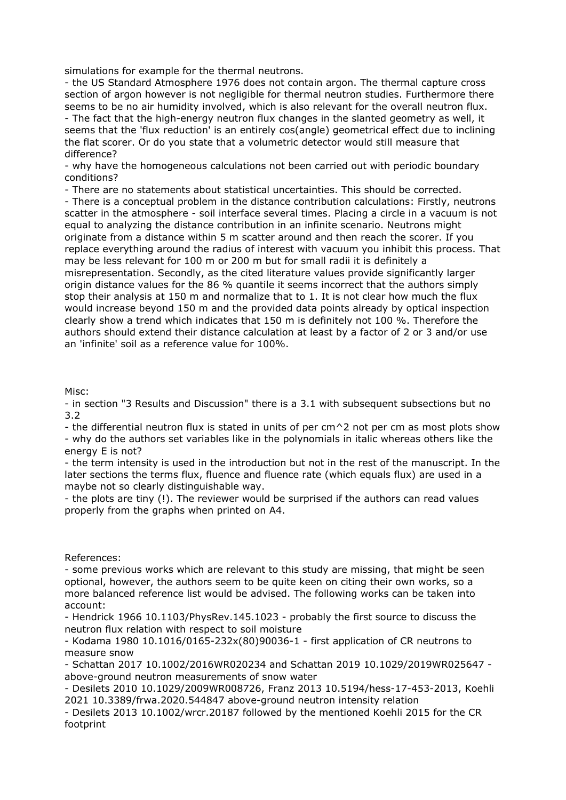simulations for example for the thermal neutrons.

- the US Standard Atmosphere 1976 does not contain argon. The thermal capture cross section of argon however is not negligible for thermal neutron studies. Furthermore there seems to be no air humidity involved, which is also relevant for the overall neutron flux. - The fact that the high-energy neutron flux changes in the slanted geometry as well, it seems that the 'flux reduction' is an entirely cos(angle) geometrical effect due to inclining the flat scorer. Or do you state that a volumetric detector would still measure that difference?

- why have the homogeneous calculations not been carried out with periodic boundary conditions?

- There are no statements about statistical uncertainties. This should be corrected.

- There is a conceptual problem in the distance contribution calculations: Firstly, neutrons scatter in the atmosphere - soil interface several times. Placing a circle in a vacuum is not equal to analyzing the distance contribution in an infinite scenario. Neutrons might originate from a distance within 5 m scatter around and then reach the scorer. If you replace everything around the radius of interest with vacuum you inhibit this process. That may be less relevant for 100 m or 200 m but for small radii it is definitely a misrepresentation. Secondly, as the cited literature values provide significantly larger origin distance values for the 86 % quantile it seems incorrect that the authors simply stop their analysis at 150 m and normalize that to 1. It is not clear how much the flux would increase beyond 150 m and the provided data points already by optical inspection clearly show a trend which indicates that 150 m is definitely not 100 %. Therefore the authors should extend their distance calculation at least by a factor of 2 or 3 and/or use an 'infinite' soil as a reference value for 100%.

Misc:

- in section "3 Results and Discussion" there is a 3.1 with subsequent subsections but no 3.2

- the differential neutron flux is stated in units of per cm^2 not per cm as most plots show - why do the authors set variables like in the polynomials in italic whereas others like the energy E is not?

- the term intensity is used in the introduction but not in the rest of the manuscript. In the later sections the terms flux, fluence and fluence rate (which equals flux) are used in a maybe not so clearly distinguishable way.

- the plots are tiny (!). The reviewer would be surprised if the authors can read values properly from the graphs when printed on A4.

## References:

- some previous works which are relevant to this study are missing, that might be seen optional, however, the authors seem to be quite keen on citing their own works, so a more balanced reference list would be advised. The following works can be taken into account:

- Hendrick 1966 10.1103/PhysRev.145.1023 - probably the first source to discuss the neutron flux relation with respect to soil moisture

- Kodama 1980 10.1016/0165-232x(80)90036-1 - first application of CR neutrons to measure snow

- Schattan 2017 10.1002/2016WR020234 and Schattan 2019 10.1029/2019WR025647 above-ground neutron measurements of snow water

- Desilets 2010 10.1029/2009WR008726, Franz 2013 10.5194/hess-17-453-2013, Koehli 2021 10.3389/frwa.2020.544847 above-ground neutron intensity relation

- Desilets 2013 10.1002/wrcr.20187 followed by the mentioned Koehli 2015 for the CR footprint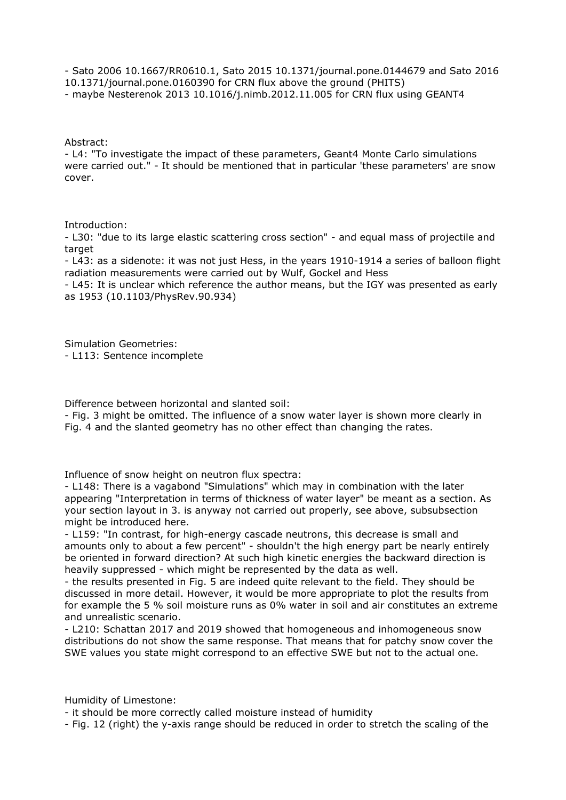- Sato 2006 10.1667/RR0610.1, Sato 2015 10.1371/journal.pone.0144679 and Sato 2016 10.1371/journal.pone.0160390 for CRN flux above the ground (PHITS) - maybe Nesterenok 2013 10.1016/j.nimb.2012.11.005 for CRN flux using GEANT4

Abstract:

- L4: "To investigate the impact of these parameters, Geant4 Monte Carlo simulations were carried out." - It should be mentioned that in particular 'these parameters' are snow cover.

Introduction:

- L30: "due to its large elastic scattering cross section" - and equal mass of projectile and target

- L43: as a sidenote: it was not just Hess, in the years 1910-1914 a series of balloon flight radiation measurements were carried out by Wulf, Gockel and Hess

- L45: It is unclear which reference the author means, but the IGY was presented as early as 1953 (10.1103/PhysRev.90.934)

Simulation Geometries:

- L113: Sentence incomplete

Difference between horizontal and slanted soil:

- Fig. 3 might be omitted. The influence of a snow water layer is shown more clearly in Fig. 4 and the slanted geometry has no other effect than changing the rates.

Influence of snow height on neutron flux spectra:

- L148: There is a vagabond "Simulations" which may in combination with the later appearing "Interpretation in terms of thickness of water layer" be meant as a section. As your section layout in 3. is anyway not carried out properly, see above, subsubsection might be introduced here.

- L159: "In contrast, for high-energy cascade neutrons, this decrease is small and amounts only to about a few percent" - shouldn't the high energy part be nearly entirely be oriented in forward direction? At such high kinetic energies the backward direction is heavily suppressed - which might be represented by the data as well.

- the results presented in Fig. 5 are indeed quite relevant to the field. They should be discussed in more detail. However, it would be more appropriate to plot the results from for example the 5 % soil moisture runs as 0% water in soil and air constitutes an extreme and unrealistic scenario.

- L210: Schattan 2017 and 2019 showed that homogeneous and inhomogeneous snow distributions do not show the same response. That means that for patchy snow cover the SWE values you state might correspond to an effective SWE but not to the actual one.

Humidity of Limestone:

- it should be more correctly called moisture instead of humidity

- Fig. 12 (right) the y-axis range should be reduced in order to stretch the scaling of the